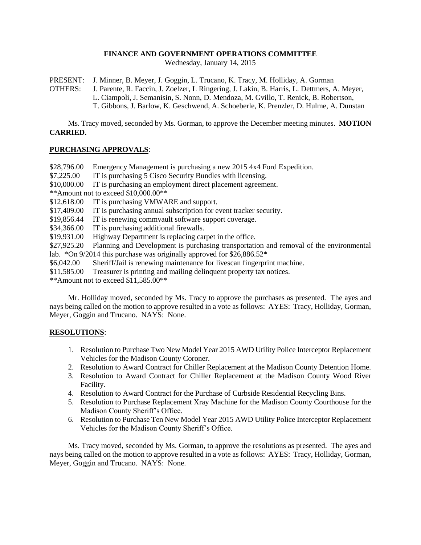# **FINANCE AND GOVERNMENT OPERATIONS COMMITTEE**

Wednesday, January 14, 2015

PRESENT: J. Minner, B. Meyer, J. Goggin, L. Trucano, K. Tracy, M. Holliday, A. Gorman

OTHERS: J. Parente, R. Faccin, J. Zoelzer, L Ringering, J. Lakin, B. Harris, L. Dettmers, A. Meyer, L. Ciampoli, J. Semanisin, S. Nonn, D. Mendoza, M. Gvillo, T. Renick, B. Robertson, T. Gibbons, J. Barlow, K. Geschwend, A. Schoeberle, K. Prenzler, D. Hulme, A. Dunstan

Ms. Tracy moved, seconded by Ms. Gorman, to approve the December meeting minutes. **MOTION CARRIED.**

### **PURCHASING APPROVALS**:

\$28,796.00 Emergency Management is purchasing a new 2015 4x4 Ford Expedition.

\$7,225.00 IT is purchasing 5 Cisco Security Bundles with licensing.

\$10,000.00 IT is purchasing an employment direct placement agreement.

\*\*Amount not to exceed \$10,000.00\*\*

\$12,618.00 IT is purchasing VMWARE and support.

\$17,409.00 IT is purchasing annual subscription for event tracker security.

\$19,856.44 IT is renewing commvault software support coverage.

\$34,366.00 IT is purchasing additional firewalls.

\$19,931.00 Highway Department is replacing carpet in the office.

\$27,925.20 Planning and Development is purchasing transportation and removal of the environmental lab. \*On 9/2014 this purchase was originally approved for  $$26,886.52$ \*

\$6,042.00 Sheriff/Jail is renewing maintenance for livescan fingerprint machine.

\$11,585.00 Treasurer is printing and mailing delinquent property tax notices.

\*\*Amount not to exceed \$11,585.00\*\*

Mr. Holliday moved, seconded by Ms. Tracy to approve the purchases as presented. The ayes and nays being called on the motion to approve resulted in a vote as follows: AYES: Tracy, Holliday, Gorman, Meyer, Goggin and Trucano. NAYS: None.

# **RESOLUTIONS**:

- 1. Resolution to Purchase Two New Model Year 2015 AWD Utility Police Interceptor Replacement Vehicles for the Madison County Coroner.
- 2. Resolution to Award Contract for Chiller Replacement at the Madison County Detention Home.
- 3. Resolution to Award Contract for Chiller Replacement at the Madison County Wood River Facility.
- 4. Resolution to Award Contract for the Purchase of Curbside Residential Recycling Bins.
- 5. Resolution to Purchase Replacement Xray Machine for the Madison County Courthouse for the Madison County Sheriff's Office.
- 6. Resolution to Purchase Ten New Model Year 2015 AWD Utility Police Interceptor Replacement Vehicles for the Madison County Sheriff's Office.

Ms. Tracy moved, seconded by Ms. Gorman, to approve the resolutions as presented. The ayes and nays being called on the motion to approve resulted in a vote as follows: AYES: Tracy, Holliday, Gorman, Meyer, Goggin and Trucano. NAYS: None.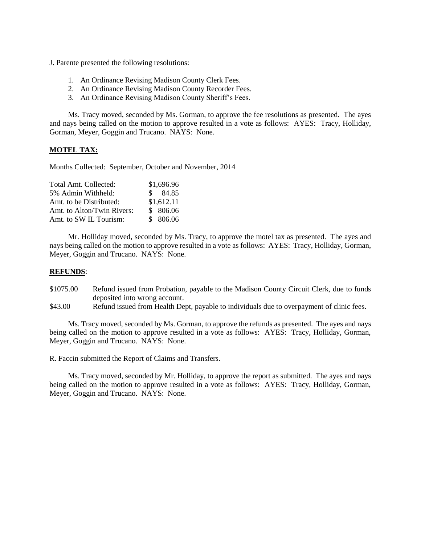J. Parente presented the following resolutions:

- 1. An Ordinance Revising Madison County Clerk Fees.
- 2. An Ordinance Revising Madison County Recorder Fees.
- 3. An Ordinance Revising Madison County Sheriff's Fees.

Ms. Tracy moved, seconded by Ms. Gorman, to approve the fee resolutions as presented. The ayes and nays being called on the motion to approve resulted in a vote as follows: AYES: Tracy, Holliday, Gorman, Meyer, Goggin and Trucano. NAYS: None.

#### **MOTEL TAX:**

Months Collected: September, October and November, 2014

| Total Amt. Collected:      | \$1,696.96  |
|----------------------------|-------------|
| 5% Admin Withheld:         | $\$\,84.85$ |
| Amt. to be Distributed:    | \$1,612.11  |
| Amt. to Alton/Twin Rivers: | \$806.06    |
| Amt. to SW IL Tourism:     | \$806.06    |

Mr. Holliday moved, seconded by Ms. Tracy, to approve the motel tax as presented. The ayes and nays being called on the motion to approve resulted in a vote as follows: AYES: Tracy, Holliday, Gorman, Meyer, Goggin and Trucano. NAYS: None.

#### **REFUNDS**:

- \$1075.00 Refund issued from Probation, payable to the Madison County Circuit Clerk, due to funds deposited into wrong account.
- \$43.00 Refund issued from Health Dept, payable to individuals due to overpayment of clinic fees.

Ms. Tracy moved, seconded by Ms. Gorman, to approve the refunds as presented. The ayes and nays being called on the motion to approve resulted in a vote as follows: AYES: Tracy, Holliday, Gorman, Meyer, Goggin and Trucano. NAYS: None.

R. Faccin submitted the Report of Claims and Transfers.

Ms. Tracy moved, seconded by Mr. Holliday, to approve the report as submitted. The ayes and nays being called on the motion to approve resulted in a vote as follows: AYES: Tracy, Holliday, Gorman, Meyer, Goggin and Trucano. NAYS: None.